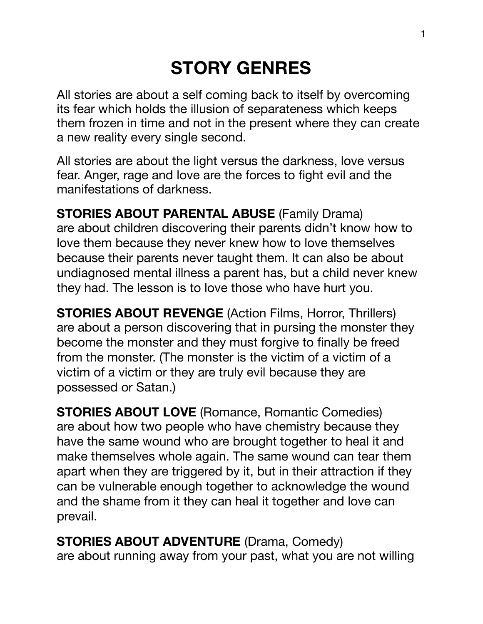# **STORY GENRES**

All stories are about a self coming back to itself by overcoming its fear which holds the illusion of separateness which keeps them frozen in time and not in the present where they can create a new reality every single second.

All stories are about the light versus the darkness, love versus fear. Anger, rage and love are the forces to fight evil and the manifestations of darkness.

**STORIES ABOUT PARENTAL ABUSE** (Family Drama) are about children discovering their parents didn't know how to love them because they never knew how to love themselves because their parents never taught them. It can also be about undiagnosed mental illness a parent has, but a child never knew they had. The lesson is to love those who have hurt you.

**STORIES ABOUT REVENGE** (Action Films, Horror, Thrillers) are about a person discovering that in pursing the monster they become the monster and they must forgive to finally be freed from the monster. (The monster is the victim of a victim of a victim of a victim or they are truly evil because they are possessed or Satan.)

**STORIES ABOUT LOVE** (Romance, Romantic Comedies) are about how two people who have chemistry because they have the same wound who are brought together to heal it and make themselves whole again. The same wound can tear them apart when they are triggered by it, but in their attraction if they can be vulnerable enough together to acknowledge the wound and the shame from it they can heal it together and love can prevail.

**STORIES ABOUT ADVENTURE (Drama, Comedy)** are about running away from your past, what you are not willing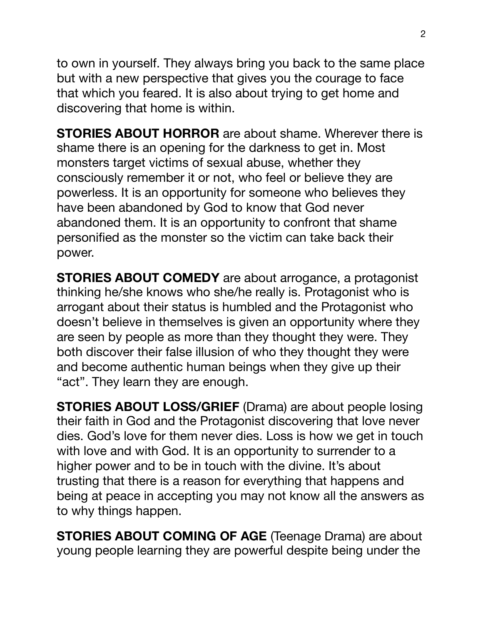to own in yourself. They always bring you back to the same place but with a new perspective that gives you the courage to face that which you feared. It is also about trying to get home and discovering that home is within.

**STORIES ABOUT HORROR** are about shame. Wherever there is shame there is an opening for the darkness to get in. Most monsters target victims of sexual abuse, whether they consciously remember it or not, who feel or believe they are powerless. It is an opportunity for someone who believes they have been abandoned by God to know that God never abandoned them. It is an opportunity to confront that shame personified as the monster so the victim can take back their power.

**STORIES ABOUT COMEDY** are about arrogance, a protagonist thinking he/she knows who she/he really is. Protagonist who is arrogant about their status is humbled and the Protagonist who doesn't believe in themselves is given an opportunity where they are seen by people as more than they thought they were. They both discover their false illusion of who they thought they were and become authentic human beings when they give up their "act". They learn they are enough.

**STORIES ABOUT LOSS/GRIEF** (Drama) are about people losing their faith in God and the Protagonist discovering that love never dies. God's love for them never dies. Loss is how we get in touch with love and with God. It is an opportunity to surrender to a higher power and to be in touch with the divine. It's about trusting that there is a reason for everything that happens and being at peace in accepting you may not know all the answers as to why things happen.

**STORIES ABOUT COMING OF AGE** (Teenage Drama) are about young people learning they are powerful despite being under the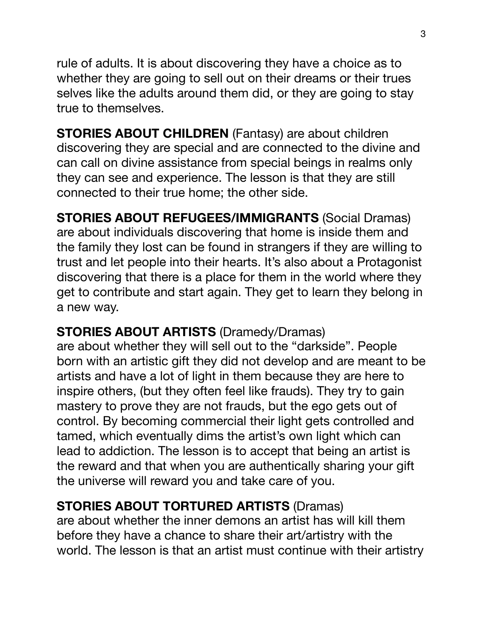rule of adults. It is about discovering they have a choice as to whether they are going to sell out on their dreams or their trues selves like the adults around them did, or they are going to stay true to themselves.

**STORIES ABOUT CHILDREN** (Fantasy) are about children discovering they are special and are connected to the divine and can call on divine assistance from special beings in realms only they can see and experience. The lesson is that they are still connected to their true home; the other side.

**STORIES ABOUT REFUGEES/IMMIGRANTS** (Social Dramas) are about individuals discovering that home is inside them and the family they lost can be found in strangers if they are willing to trust and let people into their hearts. It's also about a Protagonist discovering that there is a place for them in the world where they get to contribute and start again. They get to learn they belong in a new way.

## **STORIES ABOUT ARTISTS** (Dramedy/Dramas)

are about whether they will sell out to the "darkside". People born with an artistic gift they did not develop and are meant to be artists and have a lot of light in them because they are here to inspire others, (but they often feel like frauds). They try to gain mastery to prove they are not frauds, but the ego gets out of control. By becoming commercial their light gets controlled and tamed, which eventually dims the artist's own light which can lead to addiction. The lesson is to accept that being an artist is the reward and that when you are authentically sharing your gift the universe will reward you and take care of you.

## **STORIES ABOUT TORTURED ARTISTS** (Dramas)

are about whether the inner demons an artist has will kill them before they have a chance to share their art/artistry with the world. The lesson is that an artist must continue with their artistry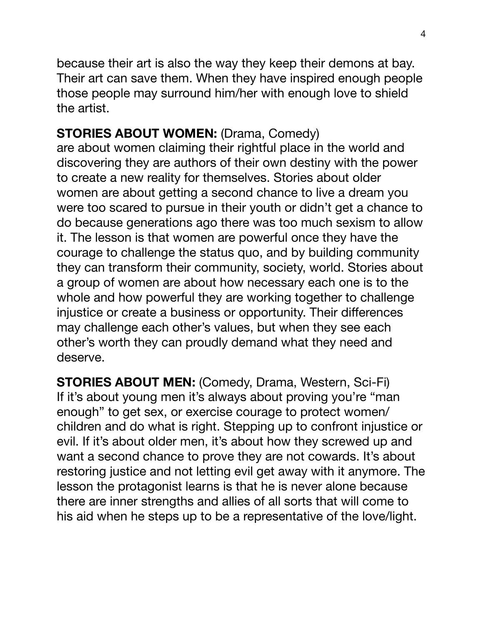because their art is also the way they keep their demons at bay. Their art can save them. When they have inspired enough people those people may surround him/her with enough love to shield the artist.

## **STORIES ABOUT WOMEN: (Drama, Comedy)**

are about women claiming their rightful place in the world and discovering they are authors of their own destiny with the power to create a new reality for themselves. Stories about older women are about getting a second chance to live a dream you were too scared to pursue in their youth or didn't get a chance to do because generations ago there was too much sexism to allow it. The lesson is that women are powerful once they have the courage to challenge the status quo, and by building community they can transform their community, society, world. Stories about a group of women are about how necessary each one is to the whole and how powerful they are working together to challenge injustice or create a business or opportunity. Their differences may challenge each other's values, but when they see each other's worth they can proudly demand what they need and deserve.

**STORIES ABOUT MEN:** (Comedy, Drama, Western, Sci-Fi) If it's about young men it's always about proving you're "man enough" to get sex, or exercise courage to protect women/ children and do what is right. Stepping up to confront injustice or evil. If it's about older men, it's about how they screwed up and want a second chance to prove they are not cowards. It's about restoring justice and not letting evil get away with it anymore. The lesson the protagonist learns is that he is never alone because there are inner strengths and allies of all sorts that will come to his aid when he steps up to be a representative of the love/light.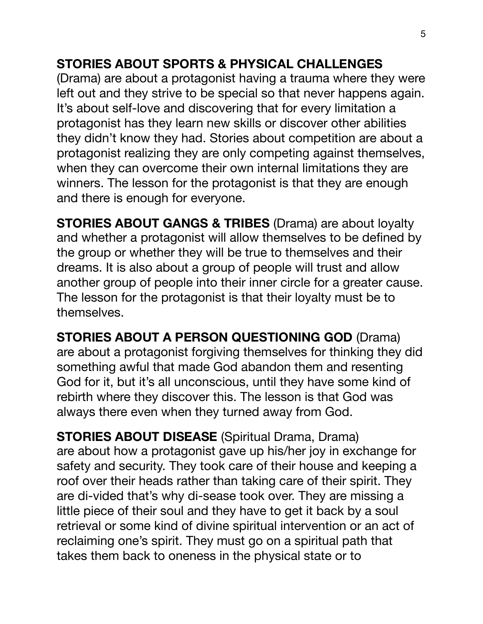#### **STORIES ABOUT SPORTS & PHYSICAL CHALLENGES**

(Drama) are about a protagonist having a trauma where they were left out and they strive to be special so that never happens again. It's about self-love and discovering that for every limitation a protagonist has they learn new skills or discover other abilities they didn't know they had. Stories about competition are about a protagonist realizing they are only competing against themselves, when they can overcome their own internal limitations they are winners. The lesson for the protagonist is that they are enough and there is enough for everyone.

**STORIES ABOUT GANGS & TRIBES** (Drama) are about loyalty and whether a protagonist will allow themselves to be defined by the group or whether they will be true to themselves and their dreams. It is also about a group of people will trust and allow another group of people into their inner circle for a greater cause. The lesson for the protagonist is that their loyalty must be to themselves.

**STORIES ABOUT A PERSON QUESTIONING GOD** (Drama) are about a protagonist forgiving themselves for thinking they did something awful that made God abandon them and resenting God for it, but it's all unconscious, until they have some kind of rebirth where they discover this. The lesson is that God was always there even when they turned away from God.

**STORIES ABOUT DISEASE** (Spiritual Drama, Drama) are about how a protagonist gave up his/her joy in exchange for safety and security. They took care of their house and keeping a roof over their heads rather than taking care of their spirit. They are di-vided that's why di-sease took over. They are missing a little piece of their soul and they have to get it back by a soul retrieval or some kind of divine spiritual intervention or an act of reclaiming one's spirit. They must go on a spiritual path that takes them back to oneness in the physical state or to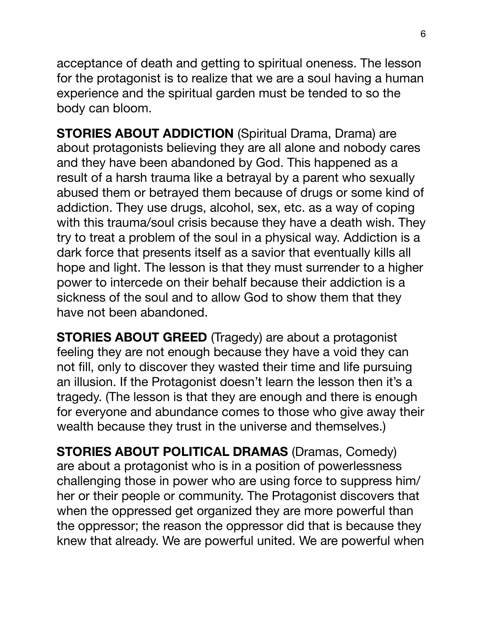acceptance of death and getting to spiritual oneness. The lesson for the protagonist is to realize that we are a soul having a human experience and the spiritual garden must be tended to so the body can bloom.

**STORIES ABOUT ADDICTION** *(Spiritual Drama, Drama)* are about protagonists believing they are all alone and nobody cares and they have been abandoned by God. This happened as a result of a harsh trauma like a betrayal by a parent who sexually abused them or betrayed them because of drugs or some kind of addiction. They use drugs, alcohol, sex, etc. as a way of coping with this trauma/soul crisis because they have a death wish. They try to treat a problem of the soul in a physical way. Addiction is a dark force that presents itself as a savior that eventually kills all hope and light. The lesson is that they must surrender to a higher power to intercede on their behalf because their addiction is a sickness of the soul and to allow God to show them that they have not been abandoned.

**STORIES ABOUT GREED** (Tragedy) are about a protagonist feeling they are not enough because they have a void they can not fill, only to discover they wasted their time and life pursuing an illusion. If the Protagonist doesn't learn the lesson then it's a tragedy. (The lesson is that they are enough and there is enough for everyone and abundance comes to those who give away their wealth because they trust in the universe and themselves.)

**STORIES ABOUT POLITICAL DRAMAS (Dramas, Comedy)** are about a protagonist who is in a position of powerlessness challenging those in power who are using force to suppress him/ her or their people or community. The Protagonist discovers that when the oppressed get organized they are more powerful than the oppressor; the reason the oppressor did that is because they knew that already. We are powerful united. We are powerful when